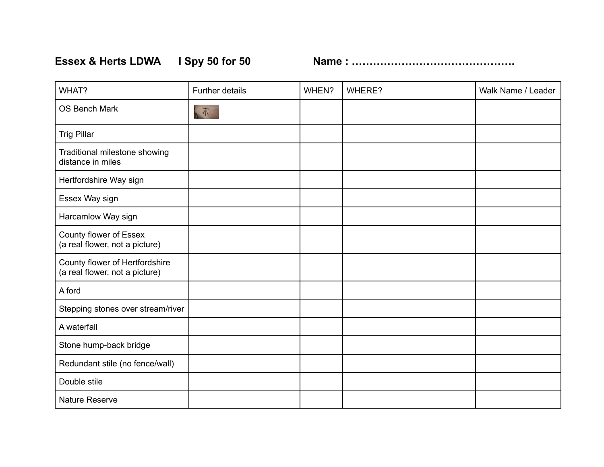**Essex & Herts LDWA I Spy 50 for 50 Name : ……………………………………….**

| WHAT?                                                            | <b>Further details</b> | WHEN? | WHERE? | Walk Name / Leader |
|------------------------------------------------------------------|------------------------|-------|--------|--------------------|
| <b>OS Bench Mark</b>                                             | $\mathbb{R}$           |       |        |                    |
| <b>Trig Pillar</b>                                               |                        |       |        |                    |
| Traditional milestone showing<br>distance in miles               |                        |       |        |                    |
| Hertfordshire Way sign                                           |                        |       |        |                    |
| Essex Way sign                                                   |                        |       |        |                    |
| Harcamlow Way sign                                               |                        |       |        |                    |
| County flower of Essex<br>(a real flower, not a picture)         |                        |       |        |                    |
| County flower of Hertfordshire<br>(a real flower, not a picture) |                        |       |        |                    |
| A ford                                                           |                        |       |        |                    |
| Stepping stones over stream/river                                |                        |       |        |                    |
| A waterfall                                                      |                        |       |        |                    |
| Stone hump-back bridge                                           |                        |       |        |                    |
| Redundant stile (no fence/wall)                                  |                        |       |        |                    |
| Double stile                                                     |                        |       |        |                    |
| <b>Nature Reserve</b>                                            |                        |       |        |                    |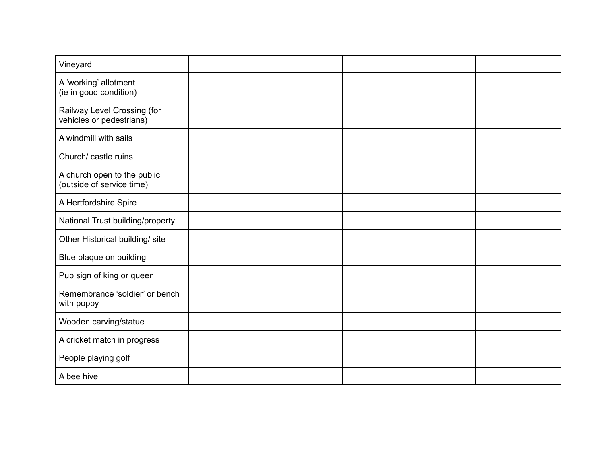| Vineyard                                                 |  |  |
|----------------------------------------------------------|--|--|
| A 'working' allotment<br>(ie in good condition)          |  |  |
| Railway Level Crossing (for<br>vehicles or pedestrians)  |  |  |
| A windmill with sails                                    |  |  |
| Church/ castle ruins                                     |  |  |
| A church open to the public<br>(outside of service time) |  |  |
| A Hertfordshire Spire                                    |  |  |
| National Trust building/property                         |  |  |
| Other Historical building/ site                          |  |  |
| Blue plaque on building                                  |  |  |
| Pub sign of king or queen                                |  |  |
| Remembrance 'soldier' or bench<br>with poppy             |  |  |
| Wooden carving/statue                                    |  |  |
| A cricket match in progress                              |  |  |
| People playing golf                                      |  |  |
| A bee hive                                               |  |  |